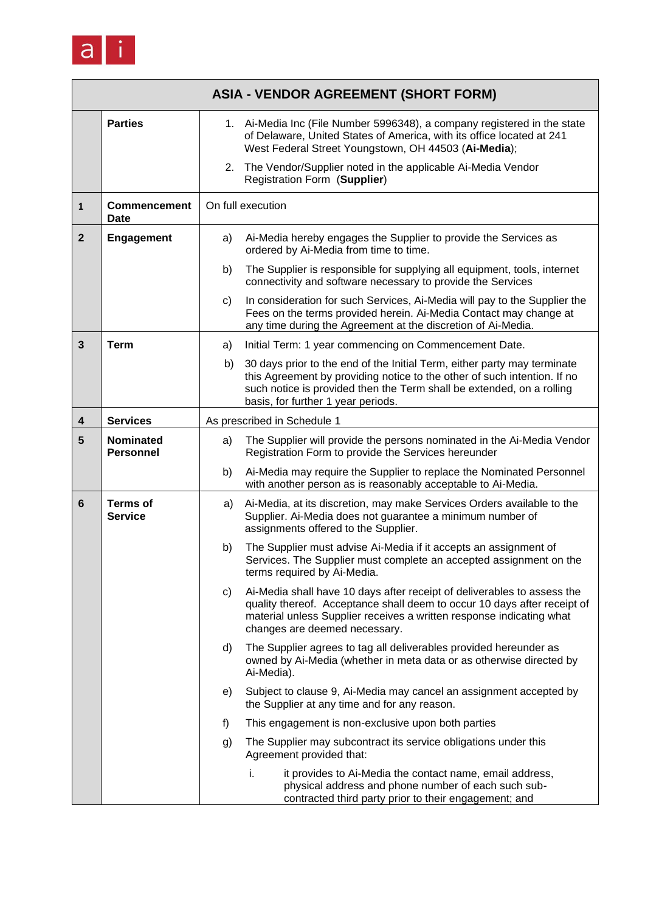

|                | <b>ASIA - VENDOR AGREEMENT (SHORT FORM)</b> |                             |                                                                                                                                                                                                                                                                     |  |  |
|----------------|---------------------------------------------|-----------------------------|---------------------------------------------------------------------------------------------------------------------------------------------------------------------------------------------------------------------------------------------------------------------|--|--|
|                | <b>Parties</b>                              |                             | 1. Ai-Media Inc (File Number 5996348), a company registered in the state<br>of Delaware, United States of America, with its office located at 241<br>West Federal Street Youngstown, OH 44503 (Ai-Media);                                                           |  |  |
|                |                                             |                             | 2. The Vendor/Supplier noted in the applicable Ai-Media Vendor<br>Registration Form (Supplier)                                                                                                                                                                      |  |  |
| $\mathbf{1}$   | <b>Commencement</b><br><b>Date</b>          |                             | On full execution                                                                                                                                                                                                                                                   |  |  |
| $\overline{2}$ | <b>Engagement</b>                           | a)                          | Ai-Media hereby engages the Supplier to provide the Services as<br>ordered by Ai-Media from time to time.                                                                                                                                                           |  |  |
|                |                                             | b)                          | The Supplier is responsible for supplying all equipment, tools, internet<br>connectivity and software necessary to provide the Services                                                                                                                             |  |  |
|                |                                             | c)                          | In consideration for such Services, Ai-Media will pay to the Supplier the<br>Fees on the terms provided herein. Ai-Media Contact may change at<br>any time during the Agreement at the discretion of Ai-Media.                                                      |  |  |
| $\mathbf{3}$   | <b>Term</b>                                 | a)                          | Initial Term: 1 year commencing on Commencement Date.                                                                                                                                                                                                               |  |  |
|                |                                             | b)                          | 30 days prior to the end of the Initial Term, either party may terminate<br>this Agreement by providing notice to the other of such intention. If no<br>such notice is provided then the Term shall be extended, on a rolling<br>basis, for further 1 year periods. |  |  |
| 4              | <b>Services</b>                             | As prescribed in Schedule 1 |                                                                                                                                                                                                                                                                     |  |  |
| 5              | <b>Nominated</b><br><b>Personnel</b>        | a)                          | The Supplier will provide the persons nominated in the Ai-Media Vendor<br>Registration Form to provide the Services hereunder                                                                                                                                       |  |  |
|                |                                             | b)                          | Ai-Media may require the Supplier to replace the Nominated Personnel<br>with another person as is reasonably acceptable to Ai-Media.                                                                                                                                |  |  |
| 6              | <b>Terms of</b><br><b>Service</b>           | a)                          | Ai-Media, at its discretion, may make Services Orders available to the<br>Supplier. Ai-Media does not guarantee a minimum number of<br>assignments offered to the Supplier.                                                                                         |  |  |
|                |                                             | b)                          | The Supplier must advise Ai-Media if it accepts an assignment of<br>Services. The Supplier must complete an accepted assignment on the<br>terms required by Ai-Media.                                                                                               |  |  |
|                |                                             | C)                          | Ai-Media shall have 10 days after receipt of deliverables to assess the<br>quality thereof. Acceptance shall deem to occur 10 days after receipt of<br>material unless Supplier receives a written response indicating what<br>changes are deemed necessary.        |  |  |
|                |                                             | d)                          | The Supplier agrees to tag all deliverables provided hereunder as<br>owned by Ai-Media (whether in meta data or as otherwise directed by<br>Ai-Media).                                                                                                              |  |  |
|                |                                             | e)                          | Subject to clause 9, Ai-Media may cancel an assignment accepted by<br>the Supplier at any time and for any reason.                                                                                                                                                  |  |  |
|                |                                             | f)                          | This engagement is non-exclusive upon both parties                                                                                                                                                                                                                  |  |  |
|                |                                             | g)                          | The Supplier may subcontract its service obligations under this<br>Agreement provided that:                                                                                                                                                                         |  |  |
|                |                                             |                             | it provides to Ai-Media the contact name, email address,<br>i.<br>physical address and phone number of each such sub-<br>contracted third party prior to their engagement; and                                                                                      |  |  |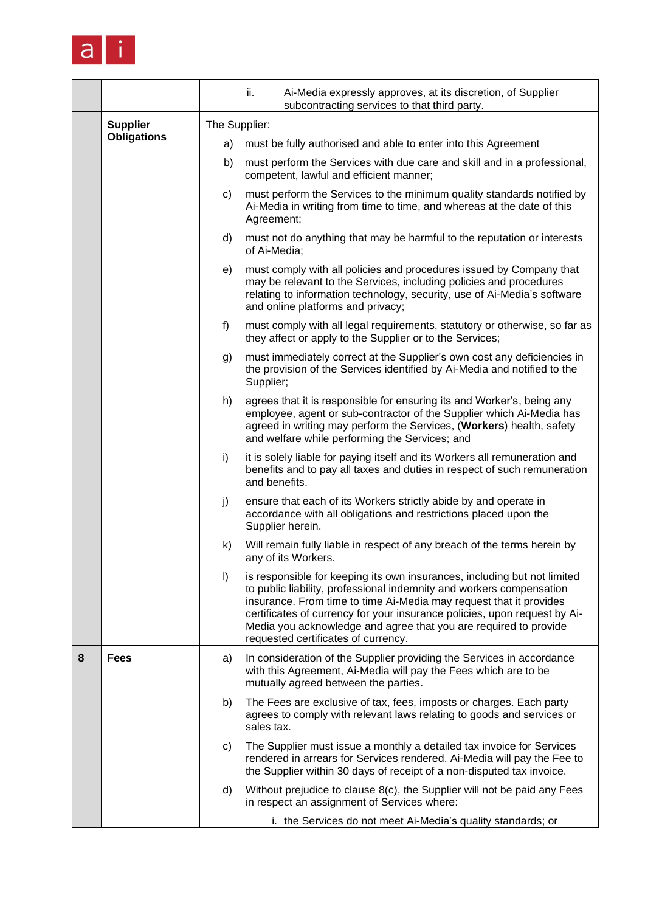

|   |                    |                                                                      | ii.<br>Ai-Media expressly approves, at its discretion, of Supplier<br>subcontracting services to that third party.                                                                                                                                                                                                                                                                                             |  |  |  |
|---|--------------------|----------------------------------------------------------------------|----------------------------------------------------------------------------------------------------------------------------------------------------------------------------------------------------------------------------------------------------------------------------------------------------------------------------------------------------------------------------------------------------------------|--|--|--|
|   | <b>Supplier</b>    | The Supplier:                                                        |                                                                                                                                                                                                                                                                                                                                                                                                                |  |  |  |
|   | <b>Obligations</b> | must be fully authorised and able to enter into this Agreement<br>a) |                                                                                                                                                                                                                                                                                                                                                                                                                |  |  |  |
|   |                    | b)                                                                   | must perform the Services with due care and skill and in a professional,<br>competent, lawful and efficient manner;                                                                                                                                                                                                                                                                                            |  |  |  |
|   |                    | C)                                                                   | must perform the Services to the minimum quality standards notified by<br>Ai-Media in writing from time to time, and whereas at the date of this<br>Agreement;                                                                                                                                                                                                                                                 |  |  |  |
|   |                    | d)                                                                   | must not do anything that may be harmful to the reputation or interests<br>of Ai-Media;                                                                                                                                                                                                                                                                                                                        |  |  |  |
|   |                    | e)                                                                   | must comply with all policies and procedures issued by Company that<br>may be relevant to the Services, including policies and procedures<br>relating to information technology, security, use of Ai-Media's software<br>and online platforms and privacy;                                                                                                                                                     |  |  |  |
|   |                    | f)                                                                   | must comply with all legal requirements, statutory or otherwise, so far as<br>they affect or apply to the Supplier or to the Services;                                                                                                                                                                                                                                                                         |  |  |  |
|   |                    | g)                                                                   | must immediately correct at the Supplier's own cost any deficiencies in<br>the provision of the Services identified by Ai-Media and notified to the<br>Supplier;                                                                                                                                                                                                                                               |  |  |  |
|   |                    | h)                                                                   | agrees that it is responsible for ensuring its and Worker's, being any<br>employee, agent or sub-contractor of the Supplier which Ai-Media has<br>agreed in writing may perform the Services, (Workers) health, safety<br>and welfare while performing the Services; and                                                                                                                                       |  |  |  |
|   |                    | i)                                                                   | it is solely liable for paying itself and its Workers all remuneration and<br>benefits and to pay all taxes and duties in respect of such remuneration<br>and benefits.                                                                                                                                                                                                                                        |  |  |  |
|   |                    | j)                                                                   | ensure that each of its Workers strictly abide by and operate in<br>accordance with all obligations and restrictions placed upon the<br>Supplier herein.                                                                                                                                                                                                                                                       |  |  |  |
|   |                    | k)                                                                   | Will remain fully liable in respect of any breach of the terms herein by<br>any of its Workers.                                                                                                                                                                                                                                                                                                                |  |  |  |
|   |                    | $\vert$                                                              | is responsible for keeping its own insurances, including but not limited<br>to public liability, professional indemnity and workers compensation<br>insurance. From time to time Ai-Media may request that it provides<br>certificates of currency for your insurance policies, upon request by Ai-<br>Media you acknowledge and agree that you are required to provide<br>requested certificates of currency. |  |  |  |
| 8 | <b>Fees</b>        | a)                                                                   | In consideration of the Supplier providing the Services in accordance<br>with this Agreement, Ai-Media will pay the Fees which are to be<br>mutually agreed between the parties.                                                                                                                                                                                                                               |  |  |  |
|   |                    | b)                                                                   | The Fees are exclusive of tax, fees, imposts or charges. Each party<br>agrees to comply with relevant laws relating to goods and services or<br>sales tax.                                                                                                                                                                                                                                                     |  |  |  |
|   |                    | C)                                                                   | The Supplier must issue a monthly a detailed tax invoice for Services<br>rendered in arrears for Services rendered. Ai-Media will pay the Fee to<br>the Supplier within 30 days of receipt of a non-disputed tax invoice.                                                                                                                                                                                      |  |  |  |
|   |                    | d)                                                                   | Without prejudice to clause 8(c), the Supplier will not be paid any Fees<br>in respect an assignment of Services where:                                                                                                                                                                                                                                                                                        |  |  |  |
|   |                    |                                                                      | i. the Services do not meet Ai-Media's quality standards; or                                                                                                                                                                                                                                                                                                                                                   |  |  |  |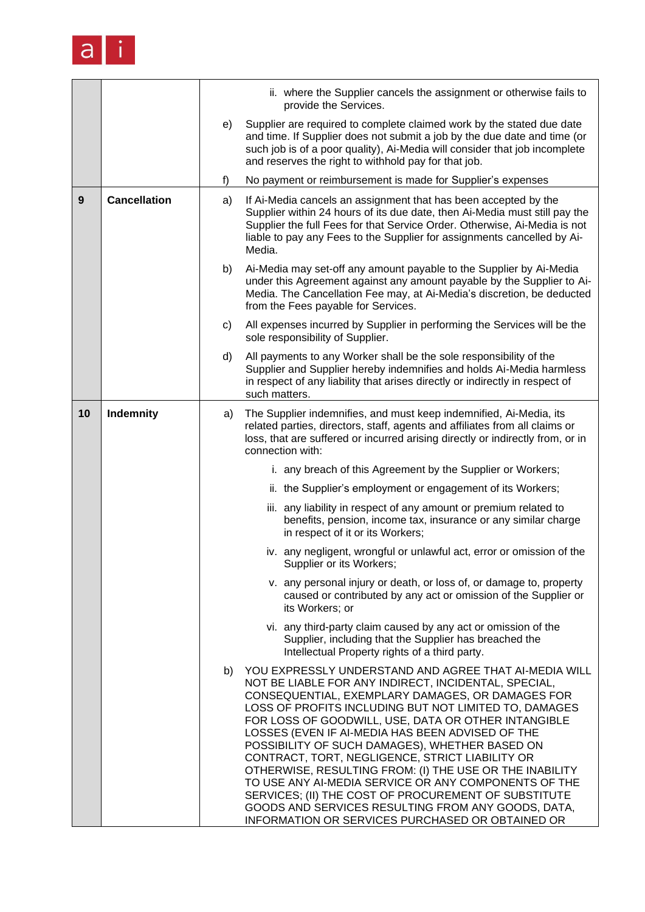

|    |                     |    | ii. where the Supplier cancels the assignment or otherwise fails to<br>provide the Services.                                                                                                                                                                                                                                                                                                                                                                                                                                                                                                                                                                                                                                    |
|----|---------------------|----|---------------------------------------------------------------------------------------------------------------------------------------------------------------------------------------------------------------------------------------------------------------------------------------------------------------------------------------------------------------------------------------------------------------------------------------------------------------------------------------------------------------------------------------------------------------------------------------------------------------------------------------------------------------------------------------------------------------------------------|
|    |                     | e) | Supplier are required to complete claimed work by the stated due date<br>and time. If Supplier does not submit a job by the due date and time (or<br>such job is of a poor quality), Ai-Media will consider that job incomplete<br>and reserves the right to withhold pay for that job.                                                                                                                                                                                                                                                                                                                                                                                                                                         |
|    |                     | f) | No payment or reimbursement is made for Supplier's expenses                                                                                                                                                                                                                                                                                                                                                                                                                                                                                                                                                                                                                                                                     |
| 9  | <b>Cancellation</b> | a) | If Ai-Media cancels an assignment that has been accepted by the<br>Supplier within 24 hours of its due date, then Ai-Media must still pay the<br>Supplier the full Fees for that Service Order. Otherwise, Ai-Media is not<br>liable to pay any Fees to the Supplier for assignments cancelled by Ai-<br>Media.                                                                                                                                                                                                                                                                                                                                                                                                                 |
|    |                     | b) | Ai-Media may set-off any amount payable to the Supplier by Ai-Media<br>under this Agreement against any amount payable by the Supplier to Ai-<br>Media. The Cancellation Fee may, at Ai-Media's discretion, be deducted<br>from the Fees payable for Services.                                                                                                                                                                                                                                                                                                                                                                                                                                                                  |
|    |                     | C) | All expenses incurred by Supplier in performing the Services will be the<br>sole responsibility of Supplier.                                                                                                                                                                                                                                                                                                                                                                                                                                                                                                                                                                                                                    |
|    |                     | d) | All payments to any Worker shall be the sole responsibility of the<br>Supplier and Supplier hereby indemnifies and holds Ai-Media harmless<br>in respect of any liability that arises directly or indirectly in respect of<br>such matters.                                                                                                                                                                                                                                                                                                                                                                                                                                                                                     |
| 10 | Indemnity           | a) | The Supplier indemnifies, and must keep indemnified, Ai-Media, its<br>related parties, directors, staff, agents and affiliates from all claims or<br>loss, that are suffered or incurred arising directly or indirectly from, or in<br>connection with:                                                                                                                                                                                                                                                                                                                                                                                                                                                                         |
|    |                     |    | i. any breach of this Agreement by the Supplier or Workers;                                                                                                                                                                                                                                                                                                                                                                                                                                                                                                                                                                                                                                                                     |
|    |                     |    | ii. the Supplier's employment or engagement of its Workers;                                                                                                                                                                                                                                                                                                                                                                                                                                                                                                                                                                                                                                                                     |
|    |                     |    | iii. any liability in respect of any amount or premium related to<br>benefits, pension, income tax, insurance or any similar charge<br>in respect of it or its Workers;                                                                                                                                                                                                                                                                                                                                                                                                                                                                                                                                                         |
|    |                     |    | iv. any negligent, wrongful or unlawful act, error or omission of the<br>Supplier or its Workers;                                                                                                                                                                                                                                                                                                                                                                                                                                                                                                                                                                                                                               |
|    |                     |    | v. any personal injury or death, or loss of, or damage to, property<br>caused or contributed by any act or omission of the Supplier or<br>its Workers: or                                                                                                                                                                                                                                                                                                                                                                                                                                                                                                                                                                       |
|    |                     |    | vi. any third-party claim caused by any act or omission of the<br>Supplier, including that the Supplier has breached the<br>Intellectual Property rights of a third party.                                                                                                                                                                                                                                                                                                                                                                                                                                                                                                                                                      |
|    |                     | b) | YOU EXPRESSLY UNDERSTAND AND AGREE THAT AI-MEDIA WILL<br>NOT BE LIABLE FOR ANY INDIRECT, INCIDENTAL, SPECIAL,<br>CONSEQUENTIAL, EXEMPLARY DAMAGES, OR DAMAGES FOR<br>LOSS OF PROFITS INCLUDING BUT NOT LIMITED TO, DAMAGES<br>FOR LOSS OF GOODWILL, USE, DATA OR OTHER INTANGIBLE<br>LOSSES (EVEN IF AI-MEDIA HAS BEEN ADVISED OF THE<br>POSSIBILITY OF SUCH DAMAGES), WHETHER BASED ON<br>CONTRACT, TORT, NEGLIGENCE, STRICT LIABILITY OR<br>OTHERWISE, RESULTING FROM: (I) THE USE OR THE INABILITY<br>TO USE ANY AI-MEDIA SERVICE OR ANY COMPONENTS OF THE<br>SERVICES; (II) THE COST OF PROCUREMENT OF SUBSTITUTE<br>GOODS AND SERVICES RESULTING FROM ANY GOODS, DATA,<br>INFORMATION OR SERVICES PURCHASED OR OBTAINED OR |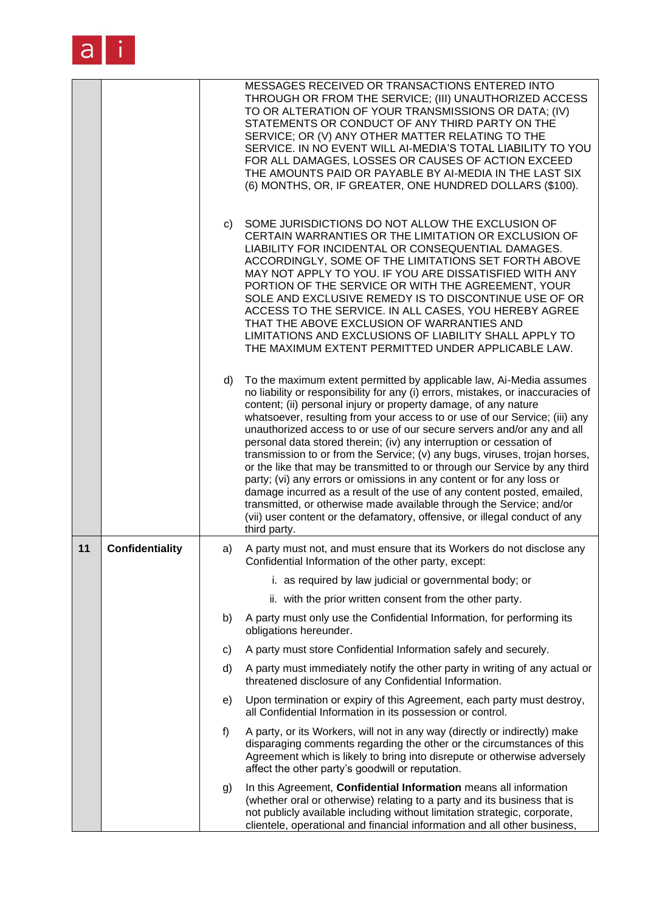

|    |                        |    | MESSAGES RECEIVED OR TRANSACTIONS ENTERED INTO<br>THROUGH OR FROM THE SERVICE; (III) UNAUTHORIZED ACCESS<br>TO OR ALTERATION OF YOUR TRANSMISSIONS OR DATA; (IV)<br>STATEMENTS OR CONDUCT OF ANY THIRD PARTY ON THE<br>SERVICE; OR (V) ANY OTHER MATTER RELATING TO THE<br>SERVICE. IN NO EVENT WILL AI-MEDIA'S TOTAL LIABILITY TO YOU<br>FOR ALL DAMAGES, LOSSES OR CAUSES OF ACTION EXCEED<br>THE AMOUNTS PAID OR PAYABLE BY AI-MEDIA IN THE LAST SIX<br>(6) MONTHS, OR, IF GREATER, ONE HUNDRED DOLLARS (\$100).                                                                                                                                                                                                                                                                                                                                                                                                                           |
|----|------------------------|----|-----------------------------------------------------------------------------------------------------------------------------------------------------------------------------------------------------------------------------------------------------------------------------------------------------------------------------------------------------------------------------------------------------------------------------------------------------------------------------------------------------------------------------------------------------------------------------------------------------------------------------------------------------------------------------------------------------------------------------------------------------------------------------------------------------------------------------------------------------------------------------------------------------------------------------------------------|
|    |                        | c) | SOME JURISDICTIONS DO NOT ALLOW THE EXCLUSION OF<br>CERTAIN WARRANTIES OR THE LIMITATION OR EXCLUSION OF<br>LIABILITY FOR INCIDENTAL OR CONSEQUENTIAL DAMAGES.<br>ACCORDINGLY, SOME OF THE LIMITATIONS SET FORTH ABOVE<br>MAY NOT APPLY TO YOU. IF YOU ARE DISSATISFIED WITH ANY<br>PORTION OF THE SERVICE OR WITH THE AGREEMENT, YOUR<br>SOLE AND EXCLUSIVE REMEDY IS TO DISCONTINUE USE OF OR<br>ACCESS TO THE SERVICE. IN ALL CASES, YOU HEREBY AGREE<br>THAT THE ABOVE EXCLUSION OF WARRANTIES AND<br>LIMITATIONS AND EXCLUSIONS OF LIABILITY SHALL APPLY TO<br>THE MAXIMUM EXTENT PERMITTED UNDER APPLICABLE LAW.                                                                                                                                                                                                                                                                                                                        |
|    |                        | d) | To the maximum extent permitted by applicable law, Ai-Media assumes<br>no liability or responsibility for any (i) errors, mistakes, or inaccuracies of<br>content; (ii) personal injury or property damage, of any nature<br>whatsoever, resulting from your access to or use of our Service; (iii) any<br>unauthorized access to or use of our secure servers and/or any and all<br>personal data stored therein; (iv) any interruption or cessation of<br>transmission to or from the Service; (v) any bugs, viruses, trojan horses,<br>or the like that may be transmitted to or through our Service by any third<br>party; (vi) any errors or omissions in any content or for any loss or<br>damage incurred as a result of the use of any content posted, emailed,<br>transmitted, or otherwise made available through the Service; and/or<br>(vii) user content or the defamatory, offensive, or illegal conduct of any<br>third party. |
| 11 | <b>Confidentiality</b> | a) | A party must not, and must ensure that its Workers do not disclose any<br>Confidential Information of the other party, except:                                                                                                                                                                                                                                                                                                                                                                                                                                                                                                                                                                                                                                                                                                                                                                                                                |
|    |                        |    | i. as required by law judicial or governmental body; or                                                                                                                                                                                                                                                                                                                                                                                                                                                                                                                                                                                                                                                                                                                                                                                                                                                                                       |
|    |                        |    | ii. with the prior written consent from the other party.                                                                                                                                                                                                                                                                                                                                                                                                                                                                                                                                                                                                                                                                                                                                                                                                                                                                                      |
|    |                        | b) | A party must only use the Confidential Information, for performing its<br>obligations hereunder.                                                                                                                                                                                                                                                                                                                                                                                                                                                                                                                                                                                                                                                                                                                                                                                                                                              |
|    |                        | c) | A party must store Confidential Information safely and securely.                                                                                                                                                                                                                                                                                                                                                                                                                                                                                                                                                                                                                                                                                                                                                                                                                                                                              |
|    |                        | d) | A party must immediately notify the other party in writing of any actual or<br>threatened disclosure of any Confidential Information.                                                                                                                                                                                                                                                                                                                                                                                                                                                                                                                                                                                                                                                                                                                                                                                                         |
|    |                        | e) | Upon termination or expiry of this Agreement, each party must destroy,<br>all Confidential Information in its possession or control.                                                                                                                                                                                                                                                                                                                                                                                                                                                                                                                                                                                                                                                                                                                                                                                                          |
|    |                        | f) | A party, or its Workers, will not in any way (directly or indirectly) make<br>disparaging comments regarding the other or the circumstances of this<br>Agreement which is likely to bring into disrepute or otherwise adversely<br>affect the other party's goodwill or reputation.                                                                                                                                                                                                                                                                                                                                                                                                                                                                                                                                                                                                                                                           |
|    |                        | g) | In this Agreement, Confidential Information means all information<br>(whether oral or otherwise) relating to a party and its business that is<br>not publicly available including without limitation strategic, corporate,<br>clientele, operational and financial information and all other business,                                                                                                                                                                                                                                                                                                                                                                                                                                                                                                                                                                                                                                        |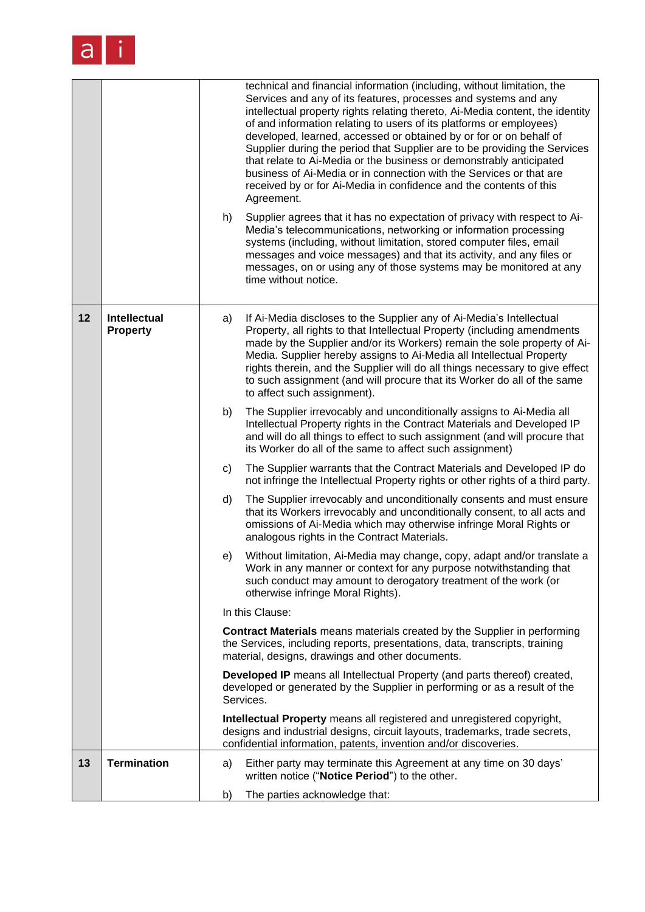

|    |                                 | technical and financial information (including, without limitation, the<br>Services and any of its features, processes and systems and any<br>intellectual property rights relating thereto, Ai-Media content, the identity<br>of and information relating to users of its platforms or employees)<br>developed, learned, accessed or obtained by or for or on behalf of<br>Supplier during the period that Supplier are to be providing the Services<br>that relate to Ai-Media or the business or demonstrably anticipated<br>business of Ai-Media or in connection with the Services or that are<br>received by or for Ai-Media in confidence and the contents of this<br>Agreement.<br>Supplier agrees that it has no expectation of privacy with respect to Ai-<br>h)<br>Media's telecommunications, networking or information processing<br>systems (including, without limitation, stored computer files, email<br>messages and voice messages) and that its activity, and any files or<br>messages, on or using any of those systems may be monitored at any<br>time without notice. |
|----|---------------------------------|----------------------------------------------------------------------------------------------------------------------------------------------------------------------------------------------------------------------------------------------------------------------------------------------------------------------------------------------------------------------------------------------------------------------------------------------------------------------------------------------------------------------------------------------------------------------------------------------------------------------------------------------------------------------------------------------------------------------------------------------------------------------------------------------------------------------------------------------------------------------------------------------------------------------------------------------------------------------------------------------------------------------------------------------------------------------------------------------|
| 12 | Intellectual<br><b>Property</b> | If Ai-Media discloses to the Supplier any of Ai-Media's Intellectual<br>a)<br>Property, all rights to that Intellectual Property (including amendments<br>made by the Supplier and/or its Workers) remain the sole property of Ai-<br>Media. Supplier hereby assigns to Ai-Media all Intellectual Property<br>rights therein, and the Supplier will do all things necessary to give effect<br>to such assignment (and will procure that its Worker do all of the same<br>to affect such assignment).                                                                                                                                                                                                                                                                                                                                                                                                                                                                                                                                                                                         |
|    |                                 | The Supplier irrevocably and unconditionally assigns to Ai-Media all<br>b)<br>Intellectual Property rights in the Contract Materials and Developed IP<br>and will do all things to effect to such assignment (and will procure that<br>its Worker do all of the same to affect such assignment)                                                                                                                                                                                                                                                                                                                                                                                                                                                                                                                                                                                                                                                                                                                                                                                              |
|    |                                 | The Supplier warrants that the Contract Materials and Developed IP do<br>C)<br>not infringe the Intellectual Property rights or other rights of a third party.                                                                                                                                                                                                                                                                                                                                                                                                                                                                                                                                                                                                                                                                                                                                                                                                                                                                                                                               |
|    |                                 | d)<br>The Supplier irrevocably and unconditionally consents and must ensure<br>that its Workers irrevocably and unconditionally consent, to all acts and<br>omissions of Ai-Media which may otherwise infringe Moral Rights or<br>analogous rights in the Contract Materials.                                                                                                                                                                                                                                                                                                                                                                                                                                                                                                                                                                                                                                                                                                                                                                                                                |
|    |                                 | Without limitation, Ai-Media may change, copy, adapt and/or translate a<br>e)<br>Work in any manner or context for any purpose notwithstanding that<br>such conduct may amount to derogatory treatment of the work (or<br>otherwise infringe Moral Rights).                                                                                                                                                                                                                                                                                                                                                                                                                                                                                                                                                                                                                                                                                                                                                                                                                                  |
|    |                                 | In this Clause:                                                                                                                                                                                                                                                                                                                                                                                                                                                                                                                                                                                                                                                                                                                                                                                                                                                                                                                                                                                                                                                                              |
|    |                                 | <b>Contract Materials</b> means materials created by the Supplier in performing<br>the Services, including reports, presentations, data, transcripts, training<br>material, designs, drawings and other documents.                                                                                                                                                                                                                                                                                                                                                                                                                                                                                                                                                                                                                                                                                                                                                                                                                                                                           |
|    |                                 | Developed IP means all Intellectual Property (and parts thereof) created,<br>developed or generated by the Supplier in performing or as a result of the<br>Services.                                                                                                                                                                                                                                                                                                                                                                                                                                                                                                                                                                                                                                                                                                                                                                                                                                                                                                                         |
|    |                                 | Intellectual Property means all registered and unregistered copyright,<br>designs and industrial designs, circuit layouts, trademarks, trade secrets,<br>confidential information, patents, invention and/or discoveries.                                                                                                                                                                                                                                                                                                                                                                                                                                                                                                                                                                                                                                                                                                                                                                                                                                                                    |
| 13 | <b>Termination</b>              | Either party may terminate this Agreement at any time on 30 days'<br>a)<br>written notice ("Notice Period") to the other.                                                                                                                                                                                                                                                                                                                                                                                                                                                                                                                                                                                                                                                                                                                                                                                                                                                                                                                                                                    |
|    |                                 | The parties acknowledge that:<br>b)                                                                                                                                                                                                                                                                                                                                                                                                                                                                                                                                                                                                                                                                                                                                                                                                                                                                                                                                                                                                                                                          |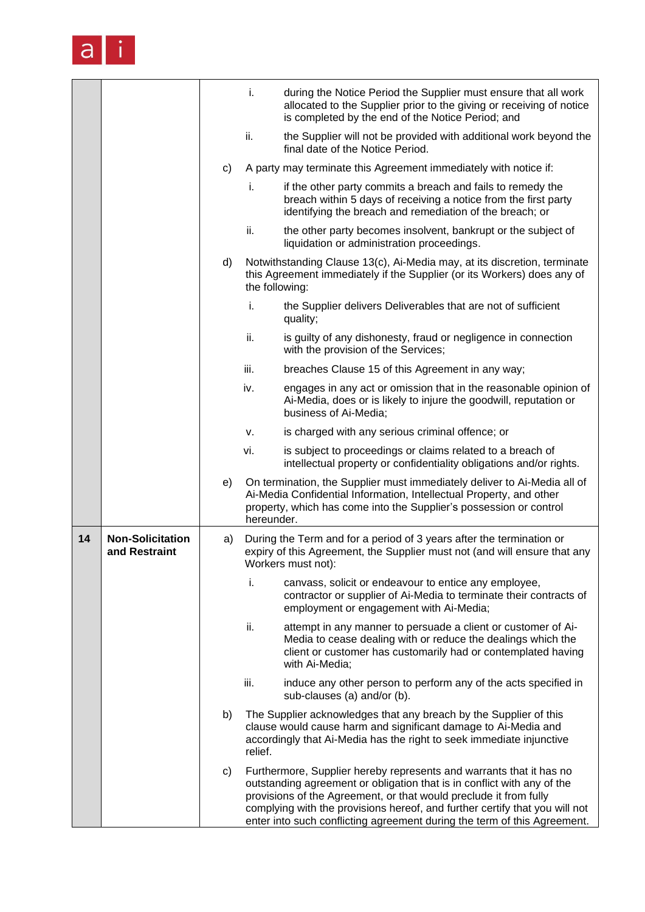

|    |                                          |    | i.             | during the Notice Period the Supplier must ensure that all work<br>allocated to the Supplier prior to the giving or receiving of notice<br>is completed by the end of the Notice Period; and                                                                                                                                                                                   |
|----|------------------------------------------|----|----------------|--------------------------------------------------------------------------------------------------------------------------------------------------------------------------------------------------------------------------------------------------------------------------------------------------------------------------------------------------------------------------------|
|    |                                          |    | ii.            | the Supplier will not be provided with additional work beyond the<br>final date of the Notice Period.                                                                                                                                                                                                                                                                          |
|    |                                          | c) |                | A party may terminate this Agreement immediately with notice if:                                                                                                                                                                                                                                                                                                               |
|    |                                          |    | i.             | if the other party commits a breach and fails to remedy the<br>breach within 5 days of receiving a notice from the first party<br>identifying the breach and remediation of the breach; or                                                                                                                                                                                     |
|    |                                          |    | ii.            | the other party becomes insolvent, bankrupt or the subject of<br>liquidation or administration proceedings.                                                                                                                                                                                                                                                                    |
|    |                                          | d) | the following: | Notwithstanding Clause 13(c), Ai-Media may, at its discretion, terminate<br>this Agreement immediately if the Supplier (or its Workers) does any of                                                                                                                                                                                                                            |
|    |                                          |    | i.             | the Supplier delivers Deliverables that are not of sufficient<br>quality;                                                                                                                                                                                                                                                                                                      |
|    |                                          |    | ii.            | is guilty of any dishonesty, fraud or negligence in connection<br>with the provision of the Services;                                                                                                                                                                                                                                                                          |
|    |                                          |    | iii.           | breaches Clause 15 of this Agreement in any way;                                                                                                                                                                                                                                                                                                                               |
|    |                                          |    | iv.            | engages in any act or omission that in the reasonable opinion of<br>Ai-Media, does or is likely to injure the goodwill, reputation or<br>business of Ai-Media;                                                                                                                                                                                                                 |
|    |                                          |    | v.             | is charged with any serious criminal offence; or                                                                                                                                                                                                                                                                                                                               |
|    |                                          |    | vi.            | is subject to proceedings or claims related to a breach of<br>intellectual property or confidentiality obligations and/or rights.                                                                                                                                                                                                                                              |
|    |                                          | e) | hereunder.     | On termination, the Supplier must immediately deliver to Ai-Media all of<br>Ai-Media Confidential Information, Intellectual Property, and other<br>property, which has come into the Supplier's possession or control                                                                                                                                                          |
| 14 | <b>Non-Solicitation</b><br>and Restraint | a) |                | During the Term and for a period of 3 years after the termination or<br>expiry of this Agreement, the Supplier must not (and will ensure that any<br>Workers must not):                                                                                                                                                                                                        |
|    |                                          |    | i.             | canvass, solicit or endeavour to entice any employee,<br>contractor or supplier of Ai-Media to terminate their contracts of<br>employment or engagement with Ai-Media;                                                                                                                                                                                                         |
|    |                                          |    | ii.            | attempt in any manner to persuade a client or customer of Ai-<br>Media to cease dealing with or reduce the dealings which the<br>client or customer has customarily had or contemplated having<br>with Ai-Media;                                                                                                                                                               |
|    |                                          |    | iii.           | induce any other person to perform any of the acts specified in<br>sub-clauses (a) and/or (b).                                                                                                                                                                                                                                                                                 |
|    |                                          | b) | relief.        | The Supplier acknowledges that any breach by the Supplier of this<br>clause would cause harm and significant damage to Ai-Media and<br>accordingly that Ai-Media has the right to seek immediate injunctive                                                                                                                                                                    |
|    |                                          | C) |                | Furthermore, Supplier hereby represents and warrants that it has no<br>outstanding agreement or obligation that is in conflict with any of the<br>provisions of the Agreement, or that would preclude it from fully<br>complying with the provisions hereof, and further certify that you will not<br>enter into such conflicting agreement during the term of this Agreement. |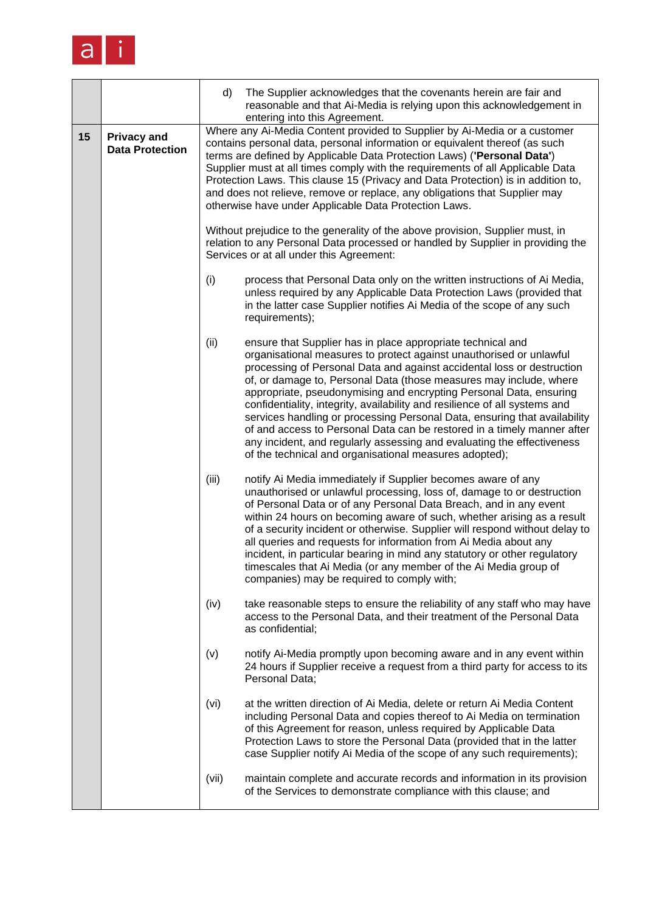

|    |                                              | d)                                                                                                                                                                                                           | The Supplier acknowledges that the covenants herein are fair and<br>reasonable and that Ai-Media is relying upon this acknowledgement in<br>entering into this Agreement.                                                                                                                                                                                                                                                                                                                                                                                                                                                                                                                                                          |  |
|----|----------------------------------------------|--------------------------------------------------------------------------------------------------------------------------------------------------------------------------------------------------------------|------------------------------------------------------------------------------------------------------------------------------------------------------------------------------------------------------------------------------------------------------------------------------------------------------------------------------------------------------------------------------------------------------------------------------------------------------------------------------------------------------------------------------------------------------------------------------------------------------------------------------------------------------------------------------------------------------------------------------------|--|
| 15 | <b>Privacy and</b><br><b>Data Protection</b> |                                                                                                                                                                                                              | Where any Ai-Media Content provided to Supplier by Ai-Media or a customer<br>contains personal data, personal information or equivalent thereof (as such<br>terms are defined by Applicable Data Protection Laws) ('Personal Data')<br>Supplier must at all times comply with the requirements of all Applicable Data<br>Protection Laws. This clause 15 (Privacy and Data Protection) is in addition to,<br>and does not relieve, remove or replace, any obligations that Supplier may<br>otherwise have under Applicable Data Protection Laws.                                                                                                                                                                                   |  |
|    |                                              | Without prejudice to the generality of the above provision, Supplier must, in<br>relation to any Personal Data processed or handled by Supplier in providing the<br>Services or at all under this Agreement: |                                                                                                                                                                                                                                                                                                                                                                                                                                                                                                                                                                                                                                                                                                                                    |  |
|    |                                              | (i)                                                                                                                                                                                                          | process that Personal Data only on the written instructions of Ai Media,<br>unless required by any Applicable Data Protection Laws (provided that<br>in the latter case Supplier notifies Ai Media of the scope of any such<br>requirements);                                                                                                                                                                                                                                                                                                                                                                                                                                                                                      |  |
|    |                                              | (ii)                                                                                                                                                                                                         | ensure that Supplier has in place appropriate technical and<br>organisational measures to protect against unauthorised or unlawful<br>processing of Personal Data and against accidental loss or destruction<br>of, or damage to, Personal Data (those measures may include, where<br>appropriate, pseudonymising and encrypting Personal Data, ensuring<br>confidentiality, integrity, availability and resilience of all systems and<br>services handling or processing Personal Data, ensuring that availability<br>of and access to Personal Data can be restored in a timely manner after<br>any incident, and regularly assessing and evaluating the effectiveness<br>of the technical and organisational measures adopted); |  |
|    |                                              | (iii)                                                                                                                                                                                                        | notify Ai Media immediately if Supplier becomes aware of any<br>unauthorised or unlawful processing, loss of, damage to or destruction<br>of Personal Data or of any Personal Data Breach, and in any event<br>within 24 hours on becoming aware of such, whether arising as a result<br>of a security incident or otherwise. Supplier will respond without delay to<br>all queries and requests for information from Ai Media about any<br>incident, in particular bearing in mind any statutory or other regulatory<br>timescales that Ai Media (or any member of the Ai Media group of<br>companies) may be required to comply with;                                                                                            |  |
|    |                                              | (iv)                                                                                                                                                                                                         | take reasonable steps to ensure the reliability of any staff who may have<br>access to the Personal Data, and their treatment of the Personal Data<br>as confidential;                                                                                                                                                                                                                                                                                                                                                                                                                                                                                                                                                             |  |
|    |                                              | (v)                                                                                                                                                                                                          | notify Ai-Media promptly upon becoming aware and in any event within<br>24 hours if Supplier receive a request from a third party for access to its<br>Personal Data;                                                                                                                                                                                                                                                                                                                                                                                                                                                                                                                                                              |  |
|    |                                              | (vi)                                                                                                                                                                                                         | at the written direction of Ai Media, delete or return Ai Media Content<br>including Personal Data and copies thereof to Ai Media on termination<br>of this Agreement for reason, unless required by Applicable Data<br>Protection Laws to store the Personal Data (provided that in the latter<br>case Supplier notify Ai Media of the scope of any such requirements);                                                                                                                                                                                                                                                                                                                                                           |  |
|    |                                              | (vii)                                                                                                                                                                                                        | maintain complete and accurate records and information in its provision<br>of the Services to demonstrate compliance with this clause; and                                                                                                                                                                                                                                                                                                                                                                                                                                                                                                                                                                                         |  |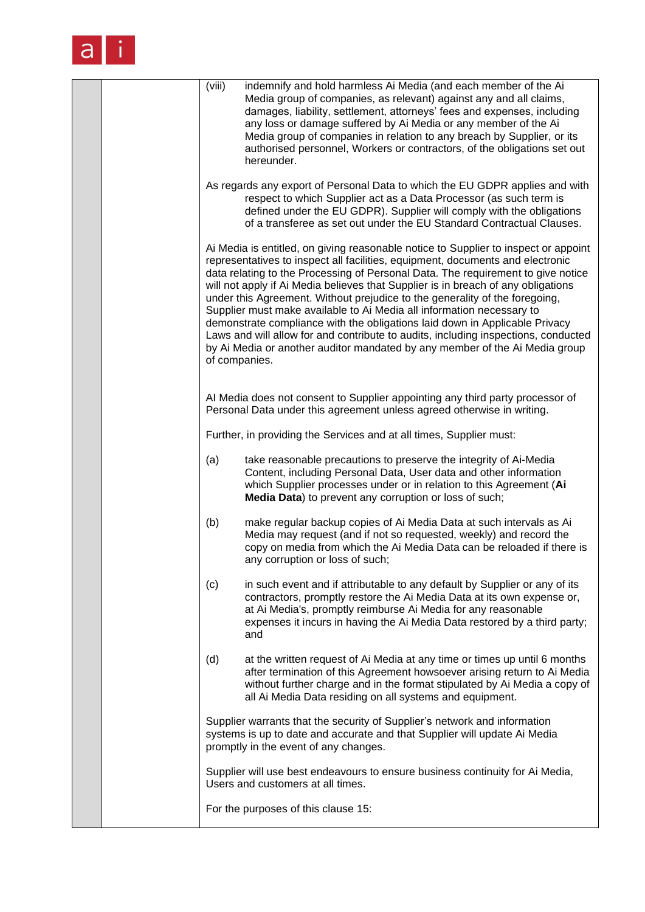

|  | (viii)        | indemnify and hold harmless Ai Media (and each member of the Ai<br>Media group of companies, as relevant) against any and all claims,<br>damages, liability, settlement, attorneys' fees and expenses, including<br>any loss or damage suffered by Ai Media or any member of the Ai<br>Media group of companies in relation to any breach by Supplier, or its<br>authorised personnel, Workers or contractors, of the obligations set out<br>hereunder.                                                                                                                                                                                                                                                                                                    |
|--|---------------|------------------------------------------------------------------------------------------------------------------------------------------------------------------------------------------------------------------------------------------------------------------------------------------------------------------------------------------------------------------------------------------------------------------------------------------------------------------------------------------------------------------------------------------------------------------------------------------------------------------------------------------------------------------------------------------------------------------------------------------------------------|
|  |               | As regards any export of Personal Data to which the EU GDPR applies and with<br>respect to which Supplier act as a Data Processor (as such term is<br>defined under the EU GDPR). Supplier will comply with the obligations<br>of a transferee as set out under the EU Standard Contractual Clauses.                                                                                                                                                                                                                                                                                                                                                                                                                                                       |
|  | of companies. | Ai Media is entitled, on giving reasonable notice to Supplier to inspect or appoint<br>representatives to inspect all facilities, equipment, documents and electronic<br>data relating to the Processing of Personal Data. The requirement to give notice<br>will not apply if Ai Media believes that Supplier is in breach of any obligations<br>under this Agreement. Without prejudice to the generality of the foregoing,<br>Supplier must make available to Ai Media all information necessary to<br>demonstrate compliance with the obligations laid down in Applicable Privacy<br>Laws and will allow for and contribute to audits, including inspections, conducted<br>by Ai Media or another auditor mandated by any member of the Ai Media group |
|  |               | Al Media does not consent to Supplier appointing any third party processor of<br>Personal Data under this agreement unless agreed otherwise in writing.                                                                                                                                                                                                                                                                                                                                                                                                                                                                                                                                                                                                    |
|  |               | Further, in providing the Services and at all times, Supplier must:                                                                                                                                                                                                                                                                                                                                                                                                                                                                                                                                                                                                                                                                                        |
|  | (a)           | take reasonable precautions to preserve the integrity of Ai-Media<br>Content, including Personal Data, User data and other information<br>which Supplier processes under or in relation to this Agreement (Ai<br>Media Data) to prevent any corruption or loss of such;                                                                                                                                                                                                                                                                                                                                                                                                                                                                                    |
|  | (b)           | make regular backup copies of Ai Media Data at such intervals as Ai<br>Media may request (and if not so requested, weekly) and record the<br>copy on media from which the Ai Media Data can be reloaded if there is<br>any corruption or loss of such;                                                                                                                                                                                                                                                                                                                                                                                                                                                                                                     |
|  | (c)           | in such event and if attributable to any default by Supplier or any of its<br>contractors, promptly restore the Ai Media Data at its own expense or,<br>at Ai Media's, promptly reimburse Ai Media for any reasonable<br>expenses it incurs in having the Ai Media Data restored by a third party;<br>and                                                                                                                                                                                                                                                                                                                                                                                                                                                  |
|  | (d)           | at the written request of Ai Media at any time or times up until 6 months<br>after termination of this Agreement howsoever arising return to Ai Media<br>without further charge and in the format stipulated by Ai Media a copy of<br>all Ai Media Data residing on all systems and equipment.                                                                                                                                                                                                                                                                                                                                                                                                                                                             |
|  |               | Supplier warrants that the security of Supplier's network and information<br>systems is up to date and accurate and that Supplier will update Ai Media<br>promptly in the event of any changes.                                                                                                                                                                                                                                                                                                                                                                                                                                                                                                                                                            |
|  |               | Supplier will use best endeavours to ensure business continuity for Ai Media,<br>Users and customers at all times.                                                                                                                                                                                                                                                                                                                                                                                                                                                                                                                                                                                                                                         |
|  |               | For the purposes of this clause 15:                                                                                                                                                                                                                                                                                                                                                                                                                                                                                                                                                                                                                                                                                                                        |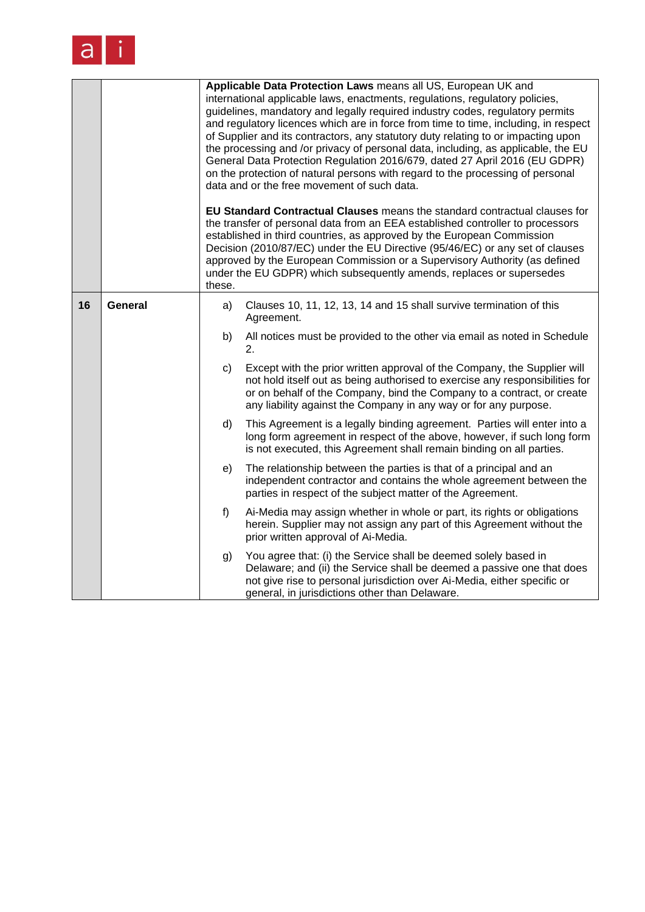

|    |         | Applicable Data Protection Laws means all US, European UK and<br>international applicable laws, enactments, regulations, regulatory policies,<br>guidelines, mandatory and legally required industry codes, regulatory permits<br>and regulatory licences which are in force from time to time, including, in respect<br>of Supplier and its contractors, any statutory duty relating to or impacting upon<br>the processing and /or privacy of personal data, including, as applicable, the EU<br>General Data Protection Regulation 2016/679, dated 27 April 2016 (EU GDPR)<br>on the protection of natural persons with regard to the processing of personal<br>data and or the free movement of such data.<br>EU Standard Contractual Clauses means the standard contractual clauses for<br>the transfer of personal data from an EEA established controller to processors<br>established in third countries, as approved by the European Commission<br>Decision (2010/87/EC) under the EU Directive (95/46/EC) or any set of clauses<br>approved by the European Commission or a Supervisory Authority (as defined<br>under the EU GDPR) which subsequently amends, replaces or supersedes<br>these. |                                                                                                                                                                                                                                                                                                        |  |
|----|---------|-----------------------------------------------------------------------------------------------------------------------------------------------------------------------------------------------------------------------------------------------------------------------------------------------------------------------------------------------------------------------------------------------------------------------------------------------------------------------------------------------------------------------------------------------------------------------------------------------------------------------------------------------------------------------------------------------------------------------------------------------------------------------------------------------------------------------------------------------------------------------------------------------------------------------------------------------------------------------------------------------------------------------------------------------------------------------------------------------------------------------------------------------------------------------------------------------------------|--------------------------------------------------------------------------------------------------------------------------------------------------------------------------------------------------------------------------------------------------------------------------------------------------------|--|
|    |         |                                                                                                                                                                                                                                                                                                                                                                                                                                                                                                                                                                                                                                                                                                                                                                                                                                                                                                                                                                                                                                                                                                                                                                                                           |                                                                                                                                                                                                                                                                                                        |  |
| 16 | General | a)                                                                                                                                                                                                                                                                                                                                                                                                                                                                                                                                                                                                                                                                                                                                                                                                                                                                                                                                                                                                                                                                                                                                                                                                        | Clauses 10, 11, 12, 13, 14 and 15 shall survive termination of this<br>Agreement.                                                                                                                                                                                                                      |  |
|    |         | b)                                                                                                                                                                                                                                                                                                                                                                                                                                                                                                                                                                                                                                                                                                                                                                                                                                                                                                                                                                                                                                                                                                                                                                                                        | All notices must be provided to the other via email as noted in Schedule<br>2.                                                                                                                                                                                                                         |  |
|    |         | c)                                                                                                                                                                                                                                                                                                                                                                                                                                                                                                                                                                                                                                                                                                                                                                                                                                                                                                                                                                                                                                                                                                                                                                                                        | Except with the prior written approval of the Company, the Supplier will<br>not hold itself out as being authorised to exercise any responsibilities for<br>or on behalf of the Company, bind the Company to a contract, or create<br>any liability against the Company in any way or for any purpose. |  |
|    |         | d)                                                                                                                                                                                                                                                                                                                                                                                                                                                                                                                                                                                                                                                                                                                                                                                                                                                                                                                                                                                                                                                                                                                                                                                                        | This Agreement is a legally binding agreement. Parties will enter into a<br>long form agreement in respect of the above, however, if such long form<br>is not executed, this Agreement shall remain binding on all parties.                                                                            |  |
|    |         | e)                                                                                                                                                                                                                                                                                                                                                                                                                                                                                                                                                                                                                                                                                                                                                                                                                                                                                                                                                                                                                                                                                                                                                                                                        | The relationship between the parties is that of a principal and an<br>independent contractor and contains the whole agreement between the<br>parties in respect of the subject matter of the Agreement.                                                                                                |  |
|    |         | $f$ )                                                                                                                                                                                                                                                                                                                                                                                                                                                                                                                                                                                                                                                                                                                                                                                                                                                                                                                                                                                                                                                                                                                                                                                                     | Ai-Media may assign whether in whole or part, its rights or obligations<br>herein. Supplier may not assign any part of this Agreement without the<br>prior written approval of Ai-Media.                                                                                                               |  |
|    |         | g)                                                                                                                                                                                                                                                                                                                                                                                                                                                                                                                                                                                                                                                                                                                                                                                                                                                                                                                                                                                                                                                                                                                                                                                                        | You agree that: (i) the Service shall be deemed solely based in<br>Delaware; and (ii) the Service shall be deemed a passive one that does<br>not give rise to personal jurisdiction over Ai-Media, either specific or<br>general, in jurisdictions other than Delaware.                                |  |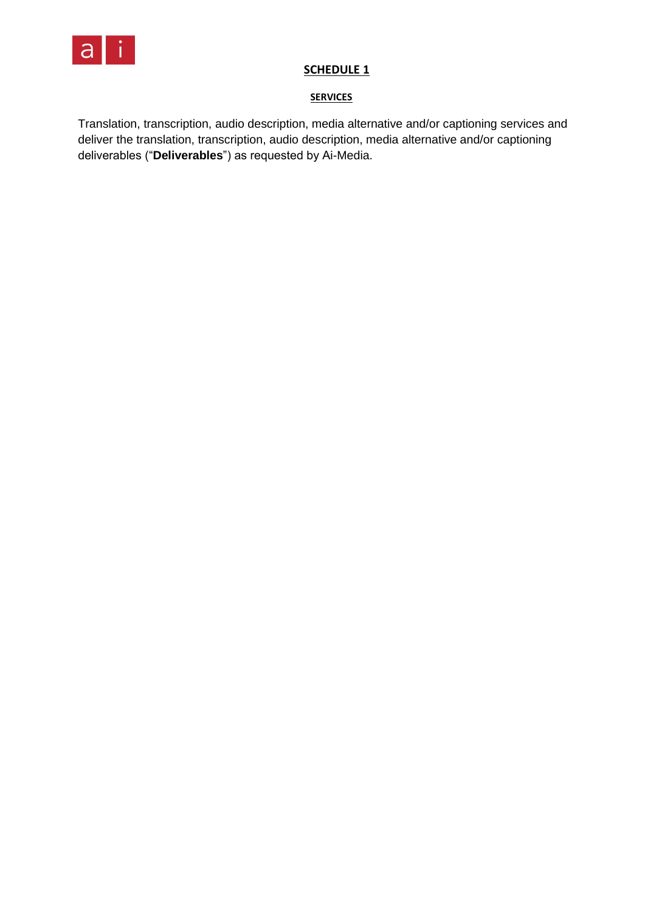

# **SCHEDULE 1**

## **SERVICES**

Translation, transcription, audio description, media alternative and/or captioning services and deliver the translation, transcription, audio description, media alternative and/or captioning deliverables ("**Deliverables**") as requested by Ai-Media.